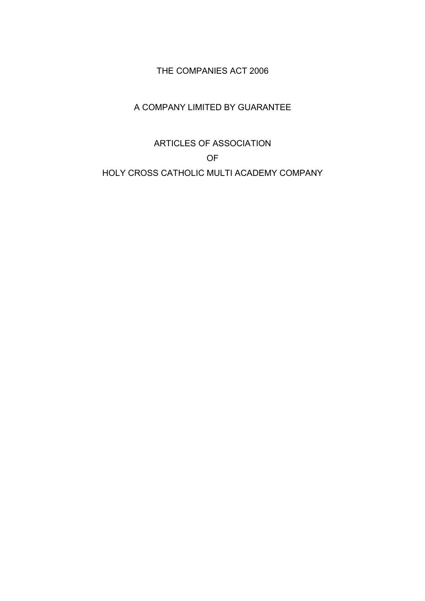# THE COMPANIES ACT 2006

# A COMPANY LIMITED BY GUARANTEE

# ARTICLES OF ASSOCIATION OF HOLY CROSS CATHOLIC MULTI ACADEMY COMPANY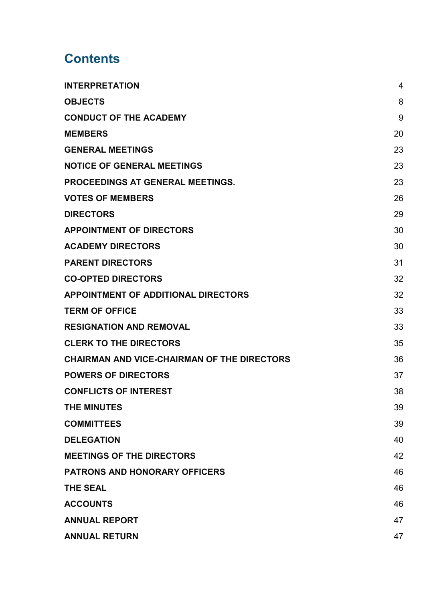# **Contents**

| <b>INTERPRETATION</b>                              | $\overline{4}$ |
|----------------------------------------------------|----------------|
| <b>OBJECTS</b>                                     | 8              |
| <b>CONDUCT OF THE ACADEMY</b>                      | 9              |
| <b>MEMBERS</b>                                     | 20             |
| <b>GENERAL MEETINGS</b>                            | 23             |
| <b>NOTICE OF GENERAL MEETINGS</b>                  | 23             |
| <b>PROCEEDINGS AT GENERAL MEETINGS.</b>            | 23             |
| <b>VOTES OF MEMBERS</b>                            | 26             |
| <b>DIRECTORS</b>                                   | 29             |
| <b>APPOINTMENT OF DIRECTORS</b>                    | 30             |
| <b>ACADEMY DIRECTORS</b>                           | 30             |
| <b>PARENT DIRECTORS</b>                            | 31             |
| <b>CO-OPTED DIRECTORS</b>                          | 32             |
| <b>APPOINTMENT OF ADDITIONAL DIRECTORS</b>         | 32             |
| <b>TERM OF OFFICE</b>                              | 33             |
| <b>RESIGNATION AND REMOVAL</b>                     | 33             |
| <b>CLERK TO THE DIRECTORS</b>                      | 35             |
| <b>CHAIRMAN AND VICE-CHAIRMAN OF THE DIRECTORS</b> | 36             |
| <b>POWERS OF DIRECTORS</b>                         | 37             |
| <b>CONFLICTS OF INTEREST</b>                       | 38             |
| <b>THE MINUTES</b>                                 | 39             |
| <b>COMMITTEES</b>                                  | 39             |
| <b>DELEGATION</b>                                  | 40             |
| <b>MEETINGS OF THE DIRECTORS</b>                   | 42             |
| <b>PATRONS AND HONORARY OFFICERS</b>               | 46             |
| <b>THE SEAL</b>                                    | 46             |
| <b>ACCOUNTS</b>                                    | 46             |
| <b>ANNUAL REPORT</b>                               | 47             |
| <b>ANNUAL RETURN</b>                               | 47             |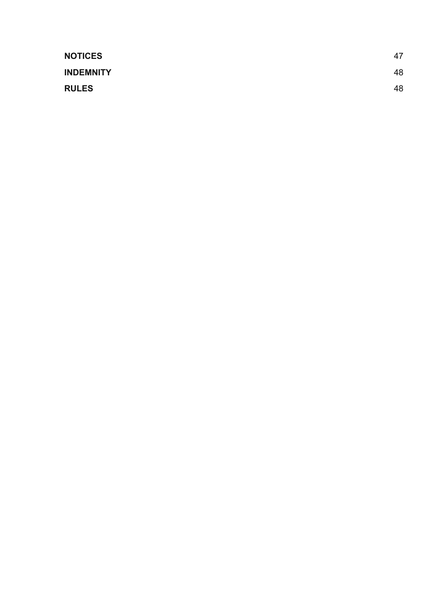| <b>NOTICES</b>   | 47 |
|------------------|----|
| <b>INDEMNITY</b> | 48 |
| <b>RULES</b>     | 48 |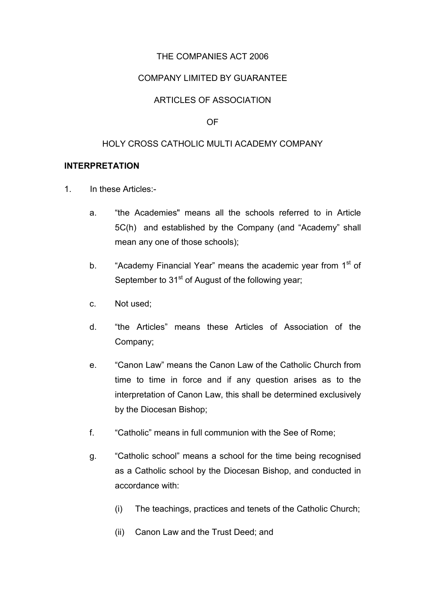# THE COMPANIES ACT 2006

## COMPANY LIMITED BY GUARANTEE

## ARTICLES OF ASSOCIATION

#### OF

#### HOLY CROSS CATHOLIC MULTI ACADEMY COMPANY

#### **INTERPRETATION**

- 1. In these Articles:
	- a. "the Academies" means all the schools referred to in Article 5C(h) and established by the Company (and "Academy" shall mean any one of those schools);
	- b. "Academy Financial Year" means the academic year from 1<sup>st</sup> of September to  $31<sup>st</sup>$  of August of the following year;
	- c. Not used;
	- d. "the Articles" means these Articles of Association of the Company;
	- e. "Canon Law" means the Canon Law of the Catholic Church from time to time in force and if any question arises as to the interpretation of Canon Law, this shall be determined exclusively by the Diocesan Bishop;
	- f. "Catholic" means in full communion with the See of Rome;
	- g. "Catholic school" means a school for the time being recognised as a Catholic school by the Diocesan Bishop, and conducted in accordance with:
		- (i) The teachings, practices and tenets of the Catholic Church;
		- (ii) Canon Law and the Trust Deed; and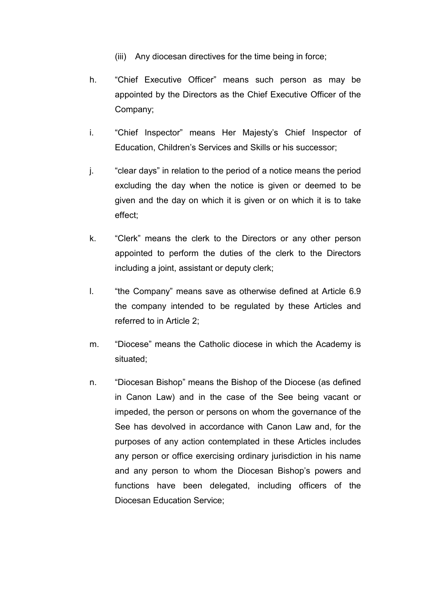- (iii) Any diocesan directives for the time being in force;
- h. "Chief Executive Officer" means such person as may be appointed by the Directors as the Chief Executive Officer of the Company;
- i. "Chief Inspector" means Her Majesty's Chief Inspector of Education, Children's Services and Skills or his successor;
- j. "clear days" in relation to the period of a notice means the period excluding the day when the notice is given or deemed to be given and the day on which it is given or on which it is to take effect;
- k. "Clerk" means the clerk to the Directors or any other person appointed to perform the duties of the clerk to the Directors including a joint, assistant or deputy clerk;
- l. "the Company" means save as otherwise defined at Article 6.9 the company intended to be regulated by these Articles and referred to in Article 2;
- m. "Diocese" means the Catholic diocese in which the Academy is situated;
- n. "Diocesan Bishop" means the Bishop of the Diocese (as defined in Canon Law) and in the case of the See being vacant or impeded, the person or persons on whom the governance of the See has devolved in accordance with Canon Law and, for the purposes of any action contemplated in these Articles includes any person or office exercising ordinary jurisdiction in his name and any person to whom the Diocesan Bishop's powers and functions have been delegated, including officers of the Diocesan Education Service;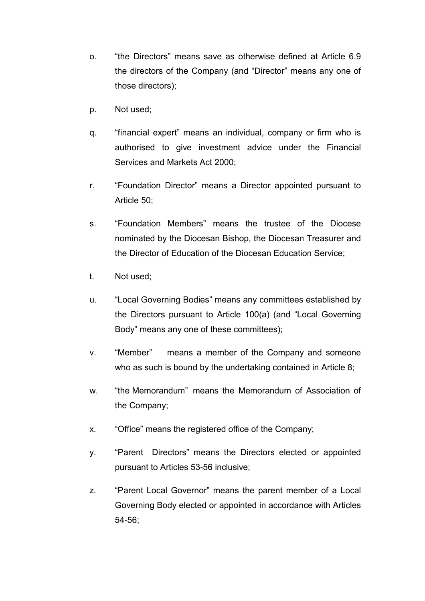- o. "the Directors" means save as otherwise defined at Article 6.9 the directors of the Company (and "Director" means any one of those directors);
- p. Not used;
- q. "financial expert" means an individual, company or firm who is authorised to give investment advice under the Financial Services and Markets Act 2000;
- r. "Foundation Director" means a Director appointed pursuant to Article 50;
- s. "Foundation Members" means the trustee of the Diocese nominated by the Diocesan Bishop, the Diocesan Treasurer and the Director of Education of the Diocesan Education Service;
- t. Not used;
- u. "Local Governing Bodies" means any committees established by the Directors pursuant to Article 100(a) (and "Local Governing Body" means any one of these committees);
- v. "Member" means a member of the Company and someone who as such is bound by the undertaking contained in Article 8;
- w. "the Memorandum" means the Memorandum of Association of the Company;
- x. "Office" means the registered office of the Company;
- y. "Parent Directors" means the Directors elected or appointed pursuant to Articles 53-56 inclusive;
- z. "Parent Local Governor" means the parent member of a Local Governing Body elected or appointed in accordance with Articles 54-56;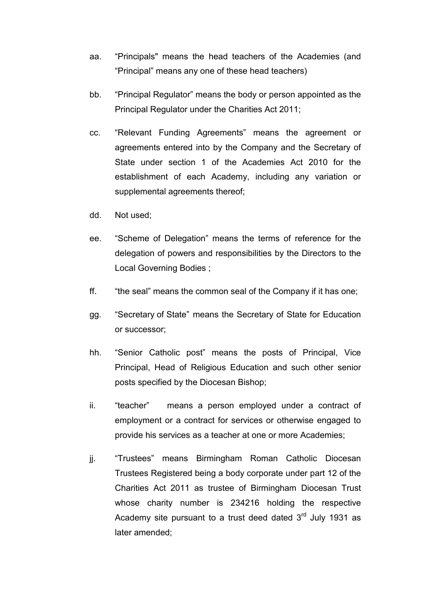- aa. "Principals" means the head teachers of the Academies (and "Principal" means any one of these head teachers)
- bb. "Principal Regulator" means the body or person appointed as the Principal Regulator under the Charities Act 2011;
- cc. "Relevant Funding Agreements" means the agreement or agreements entered into by the Company and the Secretary of State under section 1 of the Academies Act 2010 for the establishment of each Academy, including any variation or supplemental agreements thereof;
- dd. Not used;
- ee. "Scheme of Delegation" means the terms of reference for the delegation of powers and responsibilities by the Directors to the Local Governing Bodies ;
- ff. "the seal" means the common seal of the Company if it has one;
- gg. "Secretary of State" means the Secretary of State for Education or successor;
- hh. "Senior Catholic post" means the posts of Principal, Vice Principal, Head of Religious Education and such other senior posts specified by the Diocesan Bishop;
- ii. "teacher" means a person employed under a contract of employment or a contract for services or otherwise engaged to provide his services as a teacher at one or more Academies;
- jj. "Trustees" means Birmingham Roman Catholic Diocesan Trustees Registered being a body corporate under part 12 of the Charities Act 2011 as trustee of Birmingham Diocesan Trust whose charity number is 234216 holding the respective Academy site pursuant to a trust deed dated  $3<sup>rd</sup>$  July 1931 as later amended;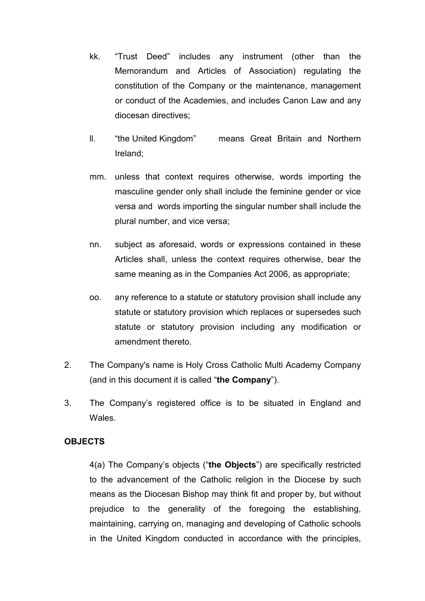- kk. "Trust Deed" includes any instrument (other than the Memorandum and Articles of Association) regulating the constitution of the Company or the maintenance, management or conduct of the Academies, and includes Canon Law and any diocesan directives;
- ll. "the United Kingdom" means Great Britain and Northern Ireland;
- mm. unless that context requires otherwise, words importing the masculine gender only shall include the feminine gender or vice versa and words importing the singular number shall include the plural number, and vice versa;
- nn. subject as aforesaid, words or expressions contained in these Articles shall, unless the context requires otherwise, bear the same meaning as in the Companies Act 2006, as appropriate;
- oo. any reference to a statute or statutory provision shall include any statute or statutory provision which replaces or supersedes such statute or statutory provision including any modification or amendment thereto.
- 2. The Company's name is Holy Cross Catholic Multi Academy Company (and in this document it is called "**the Company**").
- 3. The Company's registered office is to be situated in England and Wales.

## **OBJECTS**

4(a) The Company's objects ("**the Objects**") are specifically restricted to the advancement of the Catholic religion in the Diocese by such means as the Diocesan Bishop may think fit and proper by, but without prejudice to the generality of the foregoing the establishing, maintaining, carrying on, managing and developing of Catholic schools in the United Kingdom conducted in accordance with the principles,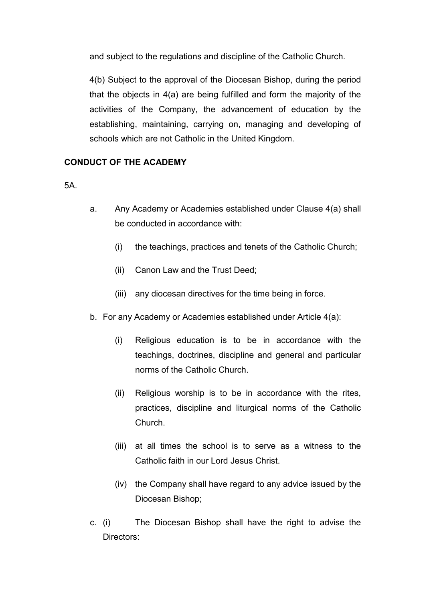and subject to the regulations and discipline of the Catholic Church.

4(b) Subject to the approval of the Diocesan Bishop, during the period that the objects in 4(a) are being fulfilled and form the majority of the activities of the Company, the advancement of education by the establishing, maintaining, carrying on, managing and developing of schools which are not Catholic in the United Kingdom.

# **CONDUCT OF THE ACADEMY**

5A.

- a. Any Academy or Academies established under Clause 4(a) shall be conducted in accordance with:
	- (i) the teachings, practices and tenets of the Catholic Church;
	- (ii) Canon Law and the Trust Deed;
	- (iii) any diocesan directives for the time being in force.
- b. For any Academy or Academies established under Article 4(a):
	- (i) Religious education is to be in accordance with the teachings, doctrines, discipline and general and particular norms of the Catholic Church.
	- (ii) Religious worship is to be in accordance with the rites, practices, discipline and liturgical norms of the Catholic Church.
	- (iii) at all times the school is to serve as a witness to the Catholic faith in our Lord Jesus Christ.
	- (iv) the Company shall have regard to any advice issued by the Diocesan Bishop;
- c. (i) The Diocesan Bishop shall have the right to advise the Directors: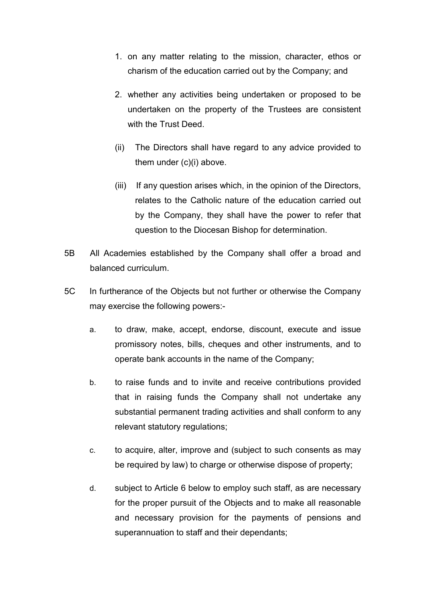- 1. on any matter relating to the mission, character, ethos or charism of the education carried out by the Company; and
- 2. whether any activities being undertaken or proposed to be undertaken on the property of the Trustees are consistent with the Trust Deed.
- (ii) The Directors shall have regard to any advice provided to them under (c)(i) above.
- (iii) If any question arises which, in the opinion of the Directors, relates to the Catholic nature of the education carried out by the Company, they shall have the power to refer that question to the Diocesan Bishop for determination.
- 5B All Academies established by the Company shall offer a broad and balanced curriculum.
- 5C In furtherance of the Objects but not further or otherwise the Company may exercise the following powers:
	- a. to draw, make, accept, endorse, discount, execute and issue promissory notes, bills, cheques and other instruments, and to operate bank accounts in the name of the Company;
	- b. to raise funds and to invite and receive contributions provided that in raising funds the Company shall not undertake any substantial permanent trading activities and shall conform to any relevant statutory regulations;
	- c. to acquire, alter, improve and (subject to such consents as may be required by law) to charge or otherwise dispose of property;
	- d. subject to Article 6 below to employ such staff, as are necessary for the proper pursuit of the Objects and to make all reasonable and necessary provision for the payments of pensions and superannuation to staff and their dependants;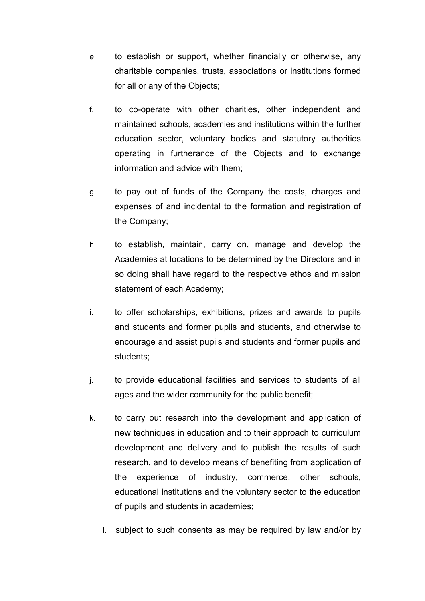- e. to establish or support, whether financially or otherwise, any charitable companies, trusts, associations or institutions formed for all or any of the Objects;
- f. to co-operate with other charities, other independent and maintained schools, academies and institutions within the further education sector, voluntary bodies and statutory authorities operating in furtherance of the Objects and to exchange information and advice with them;
- g. to pay out of funds of the Company the costs, charges and expenses of and incidental to the formation and registration of the Company;
- h. to establish, maintain, carry on, manage and develop the Academies at locations to be determined by the Directors and in so doing shall have regard to the respective ethos and mission statement of each Academy;
- i. to offer scholarships, exhibitions, prizes and awards to pupils and students and former pupils and students, and otherwise to encourage and assist pupils and students and former pupils and students;
- j. to provide educational facilities and services to students of all ages and the wider community for the public benefit;
- k. to carry out research into the development and application of new techniques in education and to their approach to curriculum development and delivery and to publish the results of such research, and to develop means of benefiting from application of the experience of industry, commerce, other schools, educational institutions and the voluntary sector to the education of pupils and students in academies;
	- l. subject to such consents as may be required by law and/or by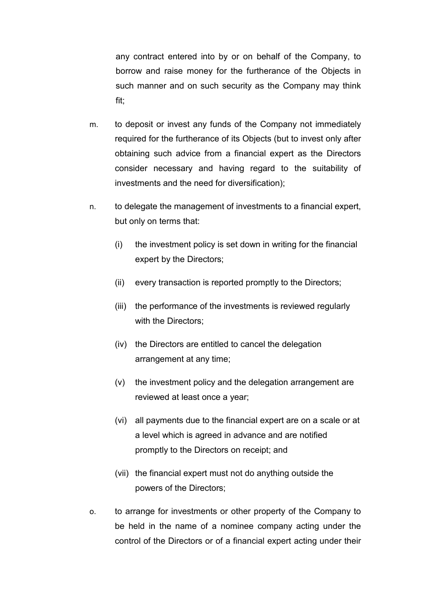any contract entered into by or on behalf of the Company, to borrow and raise money for the furtherance of the Objects in such manner and on such security as the Company may think fit;

- m. to deposit or invest any funds of the Company not immediately required for the furtherance of its Objects (but to invest only after obtaining such advice from a financial expert as the Directors consider necessary and having regard to the suitability of investments and the need for diversification);
- n. to delegate the management of investments to a financial expert, but only on terms that:
	- (i) the investment policy is set down in writing for the financial expert by the Directors;
	- (ii) every transaction is reported promptly to the Directors;
	- (iii) the performance of the investments is reviewed regularly with the Directors;
	- (iv) the Directors are entitled to cancel the delegation arrangement at any time;
	- (v) the investment policy and the delegation arrangement are reviewed at least once a year;
	- (vi) all payments due to the financial expert are on a scale or at a level which is agreed in advance and are notified promptly to the Directors on receipt; and
	- (vii) the financial expert must not do anything outside the powers of the Directors;
- o. to arrange for investments or other property of the Company to be held in the name of a nominee company acting under the control of the Directors or of a financial expert acting under their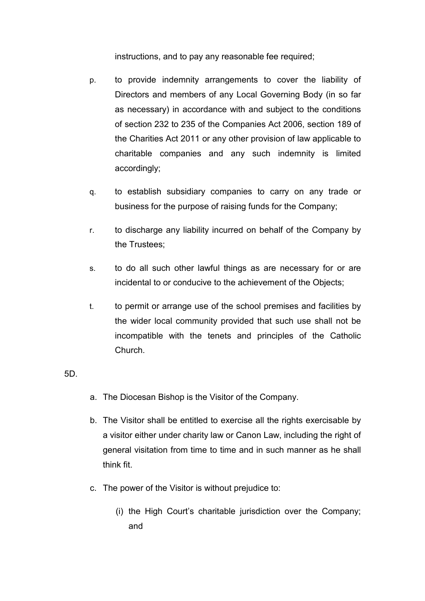instructions, and to pay any reasonable fee required;

- p. to provide indemnity arrangements to cover the liability of Directors and members of any Local Governing Body (in so far as necessary) in accordance with and subject to the conditions of section 232 to 235 of the Companies Act 2006, section 189 of the Charities Act 2011 or any other provision of law applicable to charitable companies and any such indemnity is limited accordingly;
- q. to establish subsidiary companies to carry on any trade or business for the purpose of raising funds for the Company;
- r. to discharge any liability incurred on behalf of the Company by the Trustees;
- s. to do all such other lawful things as are necessary for or are incidental to or conducive to the achievement of the Objects;
- t. to permit or arrange use of the school premises and facilities by the wider local community provided that such use shall not be incompatible with the tenets and principles of the Catholic Church.

## 5D.

- a. The Diocesan Bishop is the Visitor of the Company.
- b. The Visitor shall be entitled to exercise all the rights exercisable by a visitor either under charity law or Canon Law, including the right of general visitation from time to time and in such manner as he shall think fit.
- c. The power of the Visitor is without prejudice to:
	- (i) the High Court's charitable jurisdiction over the Company; and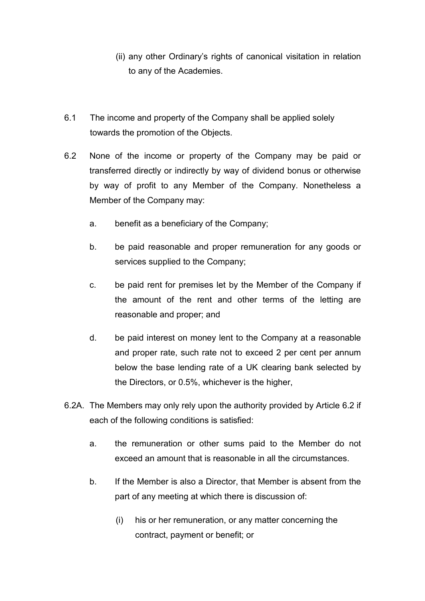- (ii) any other Ordinary's rights of canonical visitation in relation to any of the Academies.
- 6.1 The income and property of the Company shall be applied solely towards the promotion of the Objects.
- 6.2 None of the income or property of the Company may be paid or transferred directly or indirectly by way of dividend bonus or otherwise by way of profit to any Member of the Company. Nonetheless a Member of the Company may:
	- a. benefit as a beneficiary of the Company;
	- b. be paid reasonable and proper remuneration for any goods or services supplied to the Company;
	- c. be paid rent for premises let by the Member of the Company if the amount of the rent and other terms of the letting are reasonable and proper; and
	- d. be paid interest on money lent to the Company at a reasonable and proper rate, such rate not to exceed 2 per cent per annum below the base lending rate of a UK clearing bank selected by the Directors, or 0.5%, whichever is the higher,
- 6.2A. The Members may only rely upon the authority provided by Article 6.2 if each of the following conditions is satisfied:
	- a. the remuneration or other sums paid to the Member do not exceed an amount that is reasonable in all the circumstances.
	- b. If the Member is also a Director, that Member is absent from the part of any meeting at which there is discussion of:
		- (i) his or her remuneration, or any matter concerning the contract, payment or benefit; or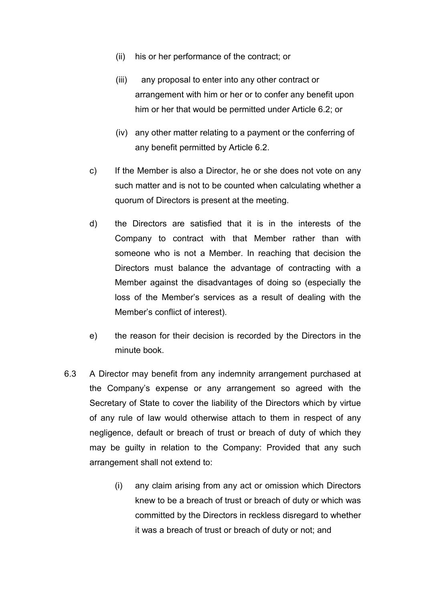- (ii) his or her performance of the contract; or
- (iii) any proposal to enter into any other contract or arrangement with him or her or to confer any benefit upon him or her that would be permitted under Article 6.2; or
- (iv) any other matter relating to a payment or the conferring of any benefit permitted by Article 6.2.
- c) If the Member is also a Director, he or she does not vote on any such matter and is not to be counted when calculating whether a quorum of Directors is present at the meeting.
- d) the Directors are satisfied that it is in the interests of the Company to contract with that Member rather than with someone who is not a Member. In reaching that decision the Directors must balance the advantage of contracting with a Member against the disadvantages of doing so (especially the loss of the Member's services as a result of dealing with the Member's conflict of interest).
- e) the reason for their decision is recorded by the Directors in the minute book.
- 6.3 A Director may benefit from any indemnity arrangement purchased at the Company's expense or any arrangement so agreed with the Secretary of State to cover the liability of the Directors which by virtue of any rule of law would otherwise attach to them in respect of any negligence, default or breach of trust or breach of duty of which they may be guilty in relation to the Company: Provided that any such arrangement shall not extend to:
	- (i) any claim arising from any act or omission which Directors knew to be a breach of trust or breach of duty or which was committed by the Directors in reckless disregard to whether it was a breach of trust or breach of duty or not; and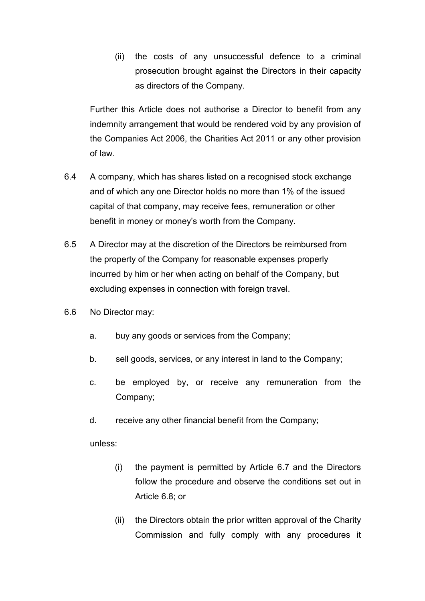(ii) the costs of any unsuccessful defence to a criminal prosecution brought against the Directors in their capacity as directors of the Company.

Further this Article does not authorise a Director to benefit from any indemnity arrangement that would be rendered void by any provision of the Companies Act 2006, the Charities Act 2011 or any other provision of law.

- 6.4 A company, which has shares listed on a recognised stock exchange and of which any one Director holds no more than 1% of the issued capital of that company, may receive fees, remuneration or other benefit in money or money's worth from the Company.
- 6.5 A Director may at the discretion of the Directors be reimbursed from the property of the Company for reasonable expenses properly incurred by him or her when acting on behalf of the Company, but excluding expenses in connection with foreign travel.
- 6.6 No Director may:
	- a. buy any goods or services from the Company;
	- b. sell goods, services, or any interest in land to the Company;
	- c. be employed by, or receive any remuneration from the Company;
	- d. receive any other financial benefit from the Company;

unless:

- (i) the payment is permitted by Article 6.7 and the Directors follow the procedure and observe the conditions set out in Article 6.8; or
- (ii) the Directors obtain the prior written approval of the Charity Commission and fully comply with any procedures it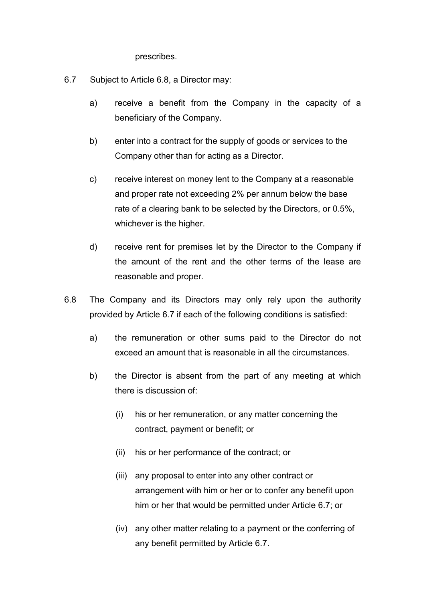prescribes.

- 6.7 Subject to Article 6.8, a Director may:
	- a) receive a benefit from the Company in the capacity of a beneficiary of the Company.
	- b) enter into a contract for the supply of goods or services to the Company other than for acting as a Director.
	- c) receive interest on money lent to the Company at a reasonable and proper rate not exceeding 2% per annum below the base rate of a clearing bank to be selected by the Directors, or 0.5%, whichever is the higher.
	- d) receive rent for premises let by the Director to the Company if the amount of the rent and the other terms of the lease are reasonable and proper.
- 6.8 The Company and its Directors may only rely upon the authority provided by Article 6.7 if each of the following conditions is satisfied:
	- a) the remuneration or other sums paid to the Director do not exceed an amount that is reasonable in all the circumstances.
	- b) the Director is absent from the part of any meeting at which there is discussion of:
		- (i) his or her remuneration, or any matter concerning the contract, payment or benefit; or
		- (ii) his or her performance of the contract; or
		- (iii) any proposal to enter into any other contract or arrangement with him or her or to confer any benefit upon him or her that would be permitted under Article 6.7; or
		- (iv) any other matter relating to a payment or the conferring of any benefit permitted by Article 6.7.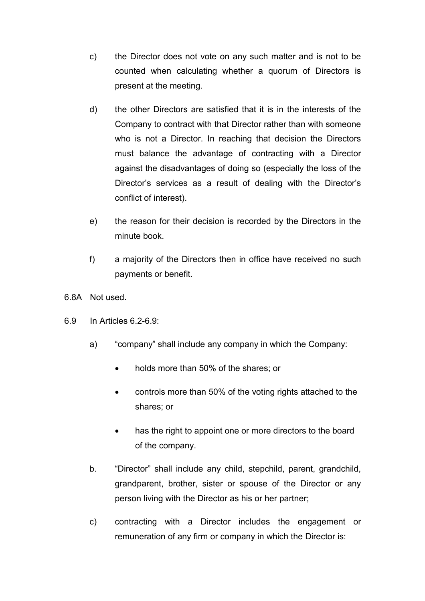- c) the Director does not vote on any such matter and is not to be counted when calculating whether a quorum of Directors is present at the meeting.
- d) the other Directors are satisfied that it is in the interests of the Company to contract with that Director rather than with someone who is not a Director. In reaching that decision the Directors must balance the advantage of contracting with a Director against the disadvantages of doing so (especially the loss of the Director's services as a result of dealing with the Director's conflict of interest).
- e) the reason for their decision is recorded by the Directors in the minute book.
- f) a majority of the Directors then in office have received no such payments or benefit.
- 6.8A Not used.
- 6.9 In Articles 6.2-6.9:
	- a) "company" shall include any company in which the Company:
		- holds more than 50% of the shares; or
		- controls more than 50% of the voting rights attached to the shares; or
		- has the right to appoint one or more directors to the board of the company.
	- b. "Director" shall include any child, stepchild, parent, grandchild, grandparent, brother, sister or spouse of the Director or any person living with the Director as his or her partner;
	- c) contracting with a Director includes the engagement or remuneration of any firm or company in which the Director is: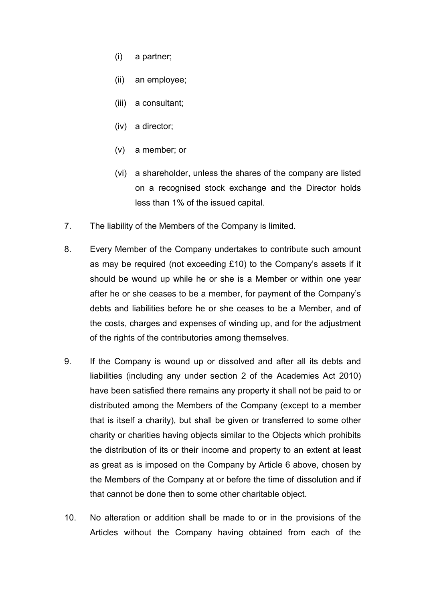- (i) a partner;
- (ii) an employee;
- (iii) a consultant;
- (iv) a director;
- (v) a member; or
- (vi) a shareholder, unless the shares of the company are listed on a recognised stock exchange and the Director holds less than 1% of the issued capital.
- 7. The liability of the Members of the Company is limited.
- 8. Every Member of the Company undertakes to contribute such amount as may be required (not exceeding £10) to the Company's assets if it should be wound up while he or she is a Member or within one year after he or she ceases to be a member, for payment of the Company's debts and liabilities before he or she ceases to be a Member, and of the costs, charges and expenses of winding up, and for the adjustment of the rights of the contributories among themselves.
- 9. If the Company is wound up or dissolved and after all its debts and liabilities (including any under section 2 of the Academies Act 2010) have been satisfied there remains any property it shall not be paid to or distributed among the Members of the Company (except to a member that is itself a charity), but shall be given or transferred to some other charity or charities having objects similar to the Objects which prohibits the distribution of its or their income and property to an extent at least as great as is imposed on the Company by Article 6 above, chosen by the Members of the Company at or before the time of dissolution and if that cannot be done then to some other charitable object.
- 10. No alteration or addition shall be made to or in the provisions of the Articles without the Company having obtained from each of the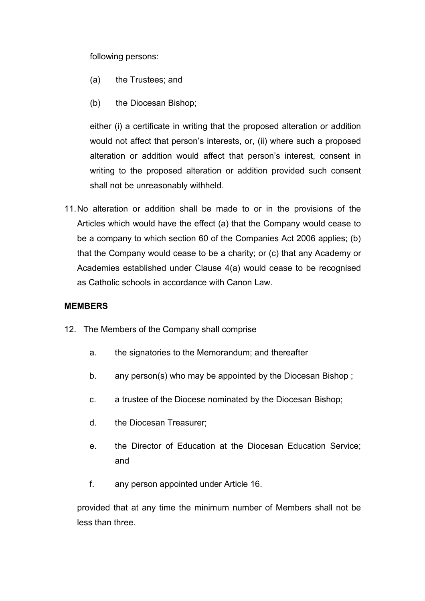following persons:

- (a) the Trustees; and
- (b) the Diocesan Bishop;

either (i) a certificate in writing that the proposed alteration or addition would not affect that person's interests, or, (ii) where such a proposed alteration or addition would affect that person's interest, consent in writing to the proposed alteration or addition provided such consent shall not be unreasonably withheld.

11. No alteration or addition shall be made to or in the provisions of the Articles which would have the effect (a) that the Company would cease to be a company to which section 60 of the Companies Act 2006 applies; (b) that the Company would cease to be a charity; or (c) that any Academy or Academies established under Clause 4(a) would cease to be recognised as Catholic schools in accordance with Canon Law.

## **MEMBERS**

- 12. The Members of the Company shall comprise
	- a. the signatories to the Memorandum; and thereafter
	- b. any person(s) who may be appointed by the Diocesan Bishop ;
	- c. a trustee of the Diocese nominated by the Diocesan Bishop;
	- d. the Diocesan Treasurer;
	- e. the Director of Education at the Diocesan Education Service; and
	- f. any person appointed under Article 16.

provided that at any time the minimum number of Members shall not be less than three.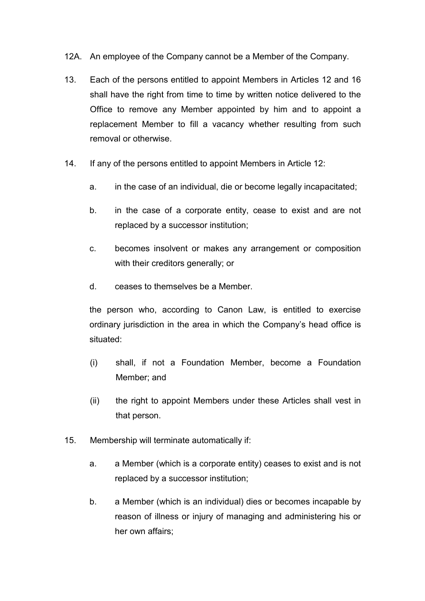- 12A. An employee of the Company cannot be a Member of the Company.
- 13. Each of the persons entitled to appoint Members in Articles 12 and 16 shall have the right from time to time by written notice delivered to the Office to remove any Member appointed by him and to appoint a replacement Member to fill a vacancy whether resulting from such removal or otherwise.
- 14. If any of the persons entitled to appoint Members in Article 12:
	- a. in the case of an individual, die or become legally incapacitated;
	- b. in the case of a corporate entity, cease to exist and are not replaced by a successor institution;
	- c. becomes insolvent or makes any arrangement or composition with their creditors generally; or
	- d. ceases to themselves be a Member.

the person who, according to Canon Law, is entitled to exercise ordinary jurisdiction in the area in which the Company's head office is situated:

- (i) shall, if not a Foundation Member, become a Foundation Member; and
- (ii) the right to appoint Members under these Articles shall vest in that person.
- 15. Membership will terminate automatically if:
	- a. a Member (which is a corporate entity) ceases to exist and is not replaced by a successor institution;
	- b. a Member (which is an individual) dies or becomes incapable by reason of illness or injury of managing and administering his or her own affairs;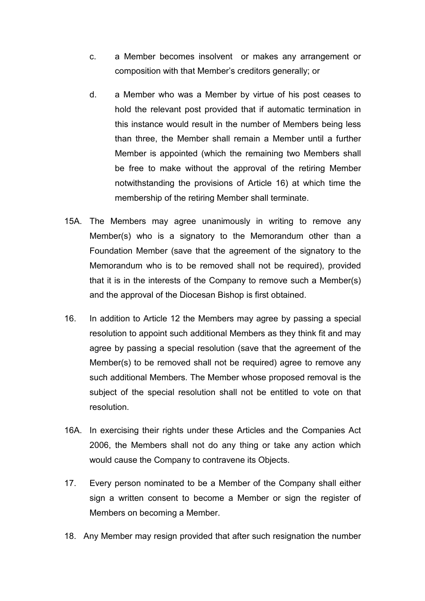- c. a Member becomes insolvent or makes any arrangement or composition with that Member's creditors generally; or
- d. a Member who was a Member by virtue of his post ceases to hold the relevant post provided that if automatic termination in this instance would result in the number of Members being less than three, the Member shall remain a Member until a further Member is appointed (which the remaining two Members shall be free to make without the approval of the retiring Member notwithstanding the provisions of Article 16) at which time the membership of the retiring Member shall terminate.
- 15A. The Members may agree unanimously in writing to remove any Member(s) who is a signatory to the Memorandum other than a Foundation Member (save that the agreement of the signatory to the Memorandum who is to be removed shall not be required), provided that it is in the interests of the Company to remove such a Member(s) and the approval of the Diocesan Bishop is first obtained.
- 16. In addition to Article 12 the Members may agree by passing a special resolution to appoint such additional Members as they think fit and may agree by passing a special resolution (save that the agreement of the Member(s) to be removed shall not be required) agree to remove any such additional Members. The Member whose proposed removal is the subject of the special resolution shall not be entitled to vote on that resolution.
- 16A. In exercising their rights under these Articles and the Companies Act 2006, the Members shall not do any thing or take any action which would cause the Company to contravene its Objects.
- 17. Every person nominated to be a Member of the Company shall either sign a written consent to become a Member or sign the register of Members on becoming a Member.
- 18. Any Member may resign provided that after such resignation the number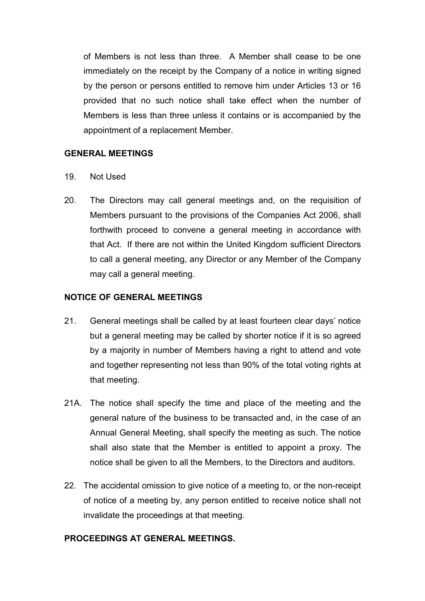of Members is not less than three. A Member shall cease to be one immediately on the receipt by the Company of a notice in writing signed by the person or persons entitled to remove him under Articles 13 or 16 provided that no such notice shall take effect when the number of Members is less than three unless it contains or is accompanied by the appointment of a replacement Member.

## **GENERAL MEETINGS**

- 19. Not Used
- 20. The Directors may call general meetings and, on the requisition of Members pursuant to the provisions of the Companies Act 2006, shall forthwith proceed to convene a general meeting in accordance with that Act. If there are not within the United Kingdom sufficient Directors to call a general meeting, any Director or any Member of the Company may call a general meeting.

# **NOTICE OF GENERAL MEETINGS**

- 21. General meetings shall be called by at least fourteen clear days' notice but a general meeting may be called by shorter notice if it is so agreed by a majority in number of Members having a right to attend and vote and together representing not less than 90% of the total voting rights at that meeting.
- 21A. The notice shall specify the time and place of the meeting and the general nature of the business to be transacted and, in the case of an Annual General Meeting, shall specify the meeting as such. The notice shall also state that the Member is entitled to appoint a proxy. The notice shall be given to all the Members, to the Directors and auditors.
- 22. The accidental omission to give notice of a meeting to, or the non-receipt of notice of a meeting by, any person entitled to receive notice shall not invalidate the proceedings at that meeting.

## **PROCEEDINGS AT GENERAL MEETINGS.**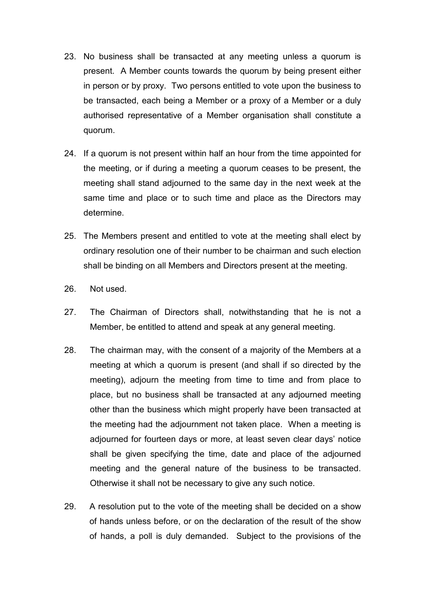- 23. No business shall be transacted at any meeting unless a quorum is present. A Member counts towards the quorum by being present either in person or by proxy. Two persons entitled to vote upon the business to be transacted, each being a Member or a proxy of a Member or a duly authorised representative of a Member organisation shall constitute a quorum.
- 24. If a quorum is not present within half an hour from the time appointed for the meeting, or if during a meeting a quorum ceases to be present, the meeting shall stand adjourned to the same day in the next week at the same time and place or to such time and place as the Directors may determine.
- 25. The Members present and entitled to vote at the meeting shall elect by ordinary resolution one of their number to be chairman and such election shall be binding on all Members and Directors present at the meeting.
- 26. Not used.
- 27. The Chairman of Directors shall, notwithstanding that he is not a Member, be entitled to attend and speak at any general meeting.
- 28. The chairman may, with the consent of a majority of the Members at a meeting at which a quorum is present (and shall if so directed by the meeting), adjourn the meeting from time to time and from place to place, but no business shall be transacted at any adjourned meeting other than the business which might properly have been transacted at the meeting had the adjournment not taken place. When a meeting is adjourned for fourteen days or more, at least seven clear days' notice shall be given specifying the time, date and place of the adjourned meeting and the general nature of the business to be transacted. Otherwise it shall not be necessary to give any such notice.
- 29. A resolution put to the vote of the meeting shall be decided on a show of hands unless before, or on the declaration of the result of the show of hands, a poll is duly demanded. Subject to the provisions of the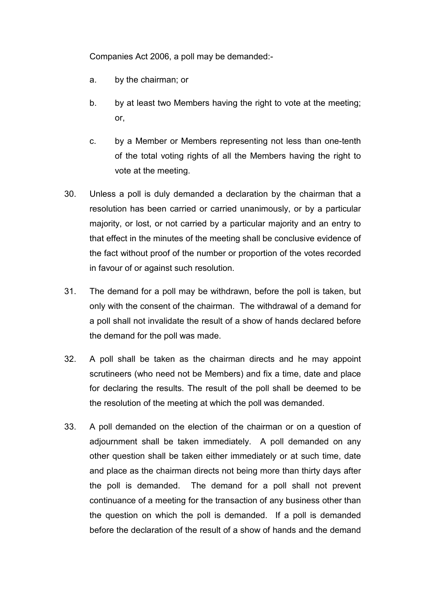Companies Act 2006, a poll may be demanded:-

- a. by the chairman; or
- b. by at least two Members having the right to vote at the meeting; or,
- c. by a Member or Members representing not less than one-tenth of the total voting rights of all the Members having the right to vote at the meeting.
- 30. Unless a poll is duly demanded a declaration by the chairman that a resolution has been carried or carried unanimously, or by a particular majority, or lost, or not carried by a particular majority and an entry to that effect in the minutes of the meeting shall be conclusive evidence of the fact without proof of the number or proportion of the votes recorded in favour of or against such resolution.
- 31. The demand for a poll may be withdrawn, before the poll is taken, but only with the consent of the chairman. The withdrawal of a demand for a poll shall not invalidate the result of a show of hands declared before the demand for the poll was made.
- 32. A poll shall be taken as the chairman directs and he may appoint scrutineers (who need not be Members) and fix a time, date and place for declaring the results. The result of the poll shall be deemed to be the resolution of the meeting at which the poll was demanded.
- 33. A poll demanded on the election of the chairman or on a question of adjournment shall be taken immediately. A poll demanded on any other question shall be taken either immediately or at such time, date and place as the chairman directs not being more than thirty days after the poll is demanded. The demand for a poll shall not prevent continuance of a meeting for the transaction of any business other than the question on which the poll is demanded. If a poll is demanded before the declaration of the result of a show of hands and the demand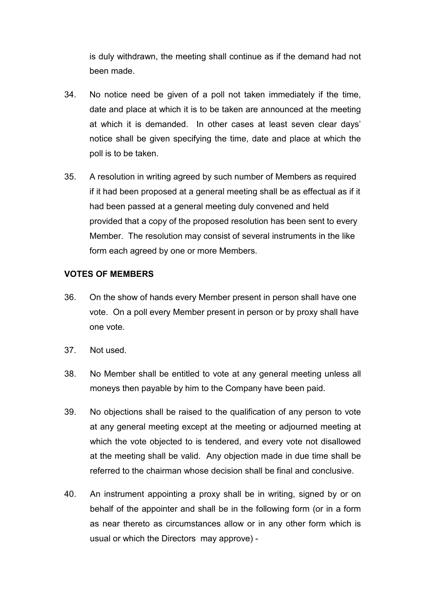is duly withdrawn, the meeting shall continue as if the demand had not been made.

- 34. No notice need be given of a poll not taken immediately if the time, date and place at which it is to be taken are announced at the meeting at which it is demanded. In other cases at least seven clear days' notice shall be given specifying the time, date and place at which the poll is to be taken.
- 35. A resolution in writing agreed by such number of Members as required if it had been proposed at a general meeting shall be as effectual as if it had been passed at a general meeting duly convened and held provided that a copy of the proposed resolution has been sent to every Member. The resolution may consist of several instruments in the like form each agreed by one or more Members.

## **VOTES OF MEMBERS**

- 36. On the show of hands every Member present in person shall have one vote. On a poll every Member present in person or by proxy shall have one vote.
- 37. Not used.
- 38. No Member shall be entitled to vote at any general meeting unless all moneys then payable by him to the Company have been paid.
- 39. No objections shall be raised to the qualification of any person to vote at any general meeting except at the meeting or adjourned meeting at which the vote objected to is tendered, and every vote not disallowed at the meeting shall be valid. Any objection made in due time shall be referred to the chairman whose decision shall be final and conclusive.
- 40. An instrument appointing a proxy shall be in writing, signed by or on behalf of the appointer and shall be in the following form (or in a form as near thereto as circumstances allow or in any other form which is usual or which the Directors may approve) -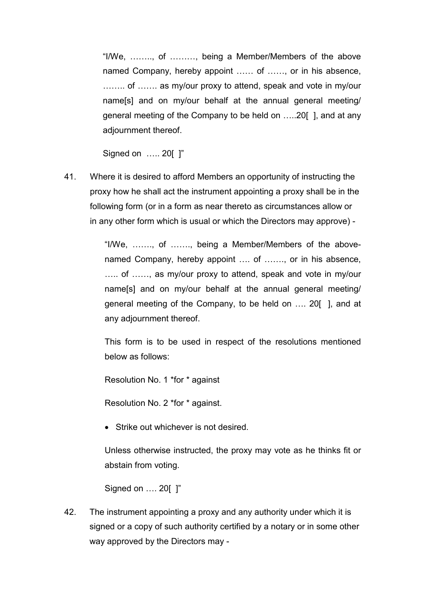"I/We, ........, of ........., being a Member/Members of the above named Company, hereby appoint ...... of ......, or in his absence, ........ of ....... as my/our proxy to attend, speak and vote in my/our name[s] and on my/our behalf at the annual general meeting/ general meeting of the Company to be held on .....20[], and at any adjournment thereof.

Signed on ..... 20[ ]"

41. Where it is desired to afford Members an opportunity of instructing the proxy how he shall act the instrument appointing a proxy shall be in the following form (or in a form as near thereto as circumstances allow or in any other form which is usual or which the Directors may approve) -

> "I/We, ......., of ......., being a Member/Members of the abovenamed Company, hereby appoint .... of ......., or in his absence, ..... of ......, as my/our proxy to attend, speak and vote in my/our name[s] and on my/our behalf at the annual general meeting/ general meeting of the Company, to be held on .... 20[], and at any adjournment thereof.

> This form is to be used in respect of the resolutions mentioned below as follows:

Resolution No. 1 \*for \* against

Resolution No. 2 \*for \* against.

• Strike out whichever is not desired.

Unless otherwise instructed, the proxy may vote as he thinks fit or abstain from voting.

Signed on .... 20[ ]"

42. The instrument appointing a proxy and any authority under which it is signed or a copy of such authority certified by a notary or in some other way approved by the Directors may -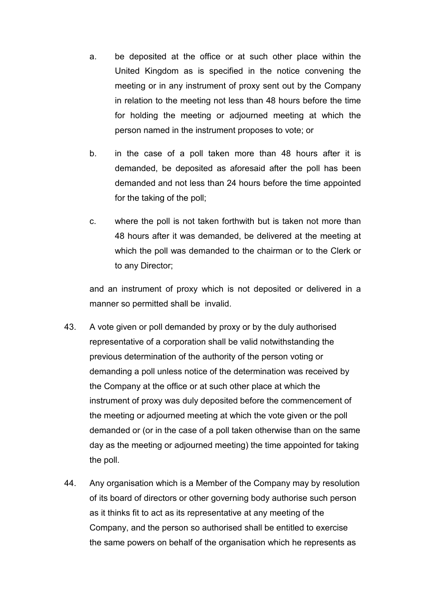- a. be deposited at the office or at such other place within the United Kingdom as is specified in the notice convening the meeting or in any instrument of proxy sent out by the Company in relation to the meeting not less than 48 hours before the time for holding the meeting or adjourned meeting at which the person named in the instrument proposes to vote; or
- b. in the case of a poll taken more than 48 hours after it is demanded, be deposited as aforesaid after the poll has been demanded and not less than 24 hours before the time appointed for the taking of the poll;
- c. where the poll is not taken forthwith but is taken not more than 48 hours after it was demanded, be delivered at the meeting at which the poll was demanded to the chairman or to the Clerk or to any Director;

and an instrument of proxy which is not deposited or delivered in a manner so permitted shall be invalid.

- 43. A vote given or poll demanded by proxy or by the duly authorised representative of a corporation shall be valid notwithstanding the previous determination of the authority of the person voting or demanding a poll unless notice of the determination was received by the Company at the office or at such other place at which the instrument of proxy was duly deposited before the commencement of the meeting or adjourned meeting at which the vote given or the poll demanded or (or in the case of a poll taken otherwise than on the same day as the meeting or adjourned meeting) the time appointed for taking the poll.
- 44. Any organisation which is a Member of the Company may by resolution of its board of directors or other governing body authorise such person as it thinks fit to act as its representative at any meeting of the Company, and the person so authorised shall be entitled to exercise the same powers on behalf of the organisation which he represents as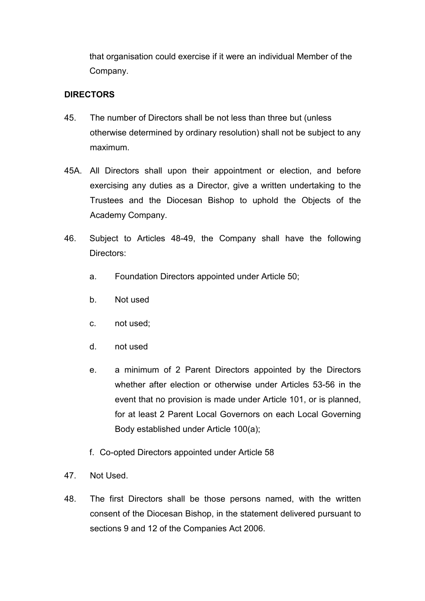that organisation could exercise if it were an individual Member of the Company.

# **DIRECTORS**

- 45. The number of Directors shall be not less than three but (unless otherwise determined by ordinary resolution) shall not be subject to any maximum.
- 45A. All Directors shall upon their appointment or election, and before exercising any duties as a Director, give a written undertaking to the Trustees and the Diocesan Bishop to uphold the Objects of the Academy Company.
- 46. Subject to Articles 48-49, the Company shall have the following Directors:
	- a. Foundation Directors appointed under Article 50;
	- b. Not used
	- c. not used;
	- d. not used
	- e. a minimum of 2 Parent Directors appointed by the Directors whether after election or otherwise under Articles 53-56 in the event that no provision is made under Article 101, or is planned, for at least 2 Parent Local Governors on each Local Governing Body established under Article 100(a);
	- f. Co-opted Directors appointed under Article 58
- 47. Not Used.
- 48. The first Directors shall be those persons named, with the written consent of the Diocesan Bishop, in the statement delivered pursuant to sections 9 and 12 of the Companies Act 2006.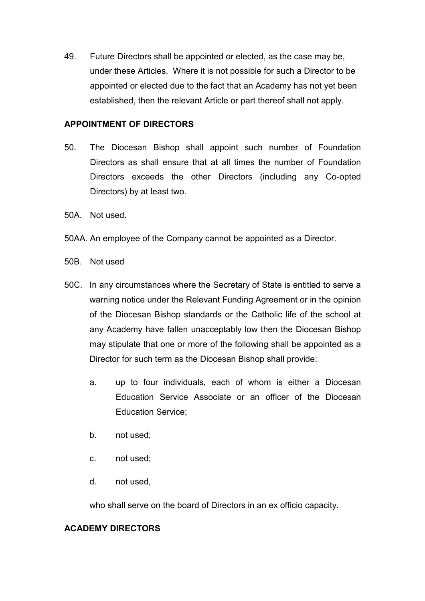49. Future Directors shall be appointed or elected, as the case may be, under these Articles. Where it is not possible for such a Director to be appointed or elected due to the fact that an Academy has not yet been established, then the relevant Article or part thereof shall not apply.

## **APPOINTMENT OF DIRECTORS**

- 50. The Diocesan Bishop shall appoint such number of Foundation Directors as shall ensure that at all times the number of Foundation Directors exceeds the other Directors (including any Co-opted Directors) by at least two.
- 50A. Not used.
- 50AA. An employee of the Company cannot be appointed as a Director.
- 50B. Not used
- 50C. In any circumstances where the Secretary of State is entitled to serve a warning notice under the Relevant Funding Agreement or in the opinion of the Diocesan Bishop standards or the Catholic life of the school at any Academy have fallen unacceptably low then the Diocesan Bishop may stipulate that one or more of the following shall be appointed as a Director for such term as the Diocesan Bishop shall provide:
	- a. up to four individuals, each of whom is either a Diocesan Education Service Associate or an officer of the Diocesan Education Service;
	- b. not used;
	- c. not used;
	- d. not used,

who shall serve on the board of Directors in an ex officio capacity.

# **ACADEMY DIRECTORS**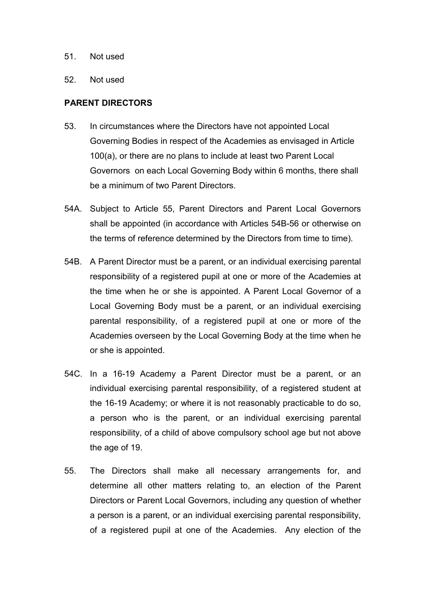- 51. Not used
- 52. Not used

## **PARENT DIRECTORS**

- 53. In circumstances where the Directors have not appointed Local Governing Bodies in respect of the Academies as envisaged in Article 100(a), or there are no plans to include at least two Parent Local Governors on each Local Governing Body within 6 months, there shall be a minimum of two Parent Directors.
- 54A. Subject to Article 55, Parent Directors and Parent Local Governors shall be appointed (in accordance with Articles 54B-56 or otherwise on the terms of reference determined by the Directors from time to time).
- 54B. A Parent Director must be a parent, or an individual exercising parental responsibility of a registered pupil at one or more of the Academies at the time when he or she is appointed. A Parent Local Governor of a Local Governing Body must be a parent, or an individual exercising parental responsibility, of a registered pupil at one or more of the Academies overseen by the Local Governing Body at the time when he or she is appointed.
- 54C. In a 16-19 Academy a Parent Director must be a parent, or an individual exercising parental responsibility, of a registered student at the 16-19 Academy; or where it is not reasonably practicable to do so, a person who is the parent, or an individual exercising parental responsibility, of a child of above compulsory school age but not above the age of 19.
- 55. The Directors shall make all necessary arrangements for, and determine all other matters relating to, an election of the Parent Directors or Parent Local Governors, including any question of whether a person is a parent, or an individual exercising parental responsibility, of a registered pupil at one of the Academies. Any election of the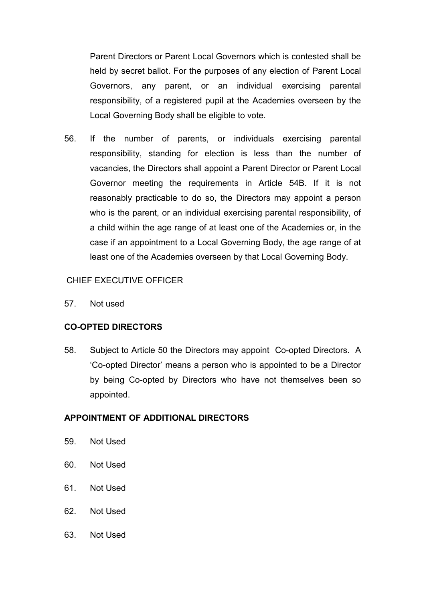Parent Directors or Parent Local Governors which is contested shall be held by secret ballot. For the purposes of any election of Parent Local Governors, any parent, or an individual exercising parental responsibility, of a registered pupil at the Academies overseen by the Local Governing Body shall be eligible to vote.

56. If the number of parents, or individuals exercising parental responsibility, standing for election is less than the number of vacancies, the Directors shall appoint a Parent Director or Parent Local Governor meeting the requirements in Article 54B. If it is not reasonably practicable to do so, the Directors may appoint a person who is the parent, or an individual exercising parental responsibility, of a child within the age range of at least one of the Academies or, in the case if an appointment to a Local Governing Body, the age range of at least one of the Academies overseen by that Local Governing Body.

# CHIEF EXECUTIVE OFFICER

57. Not used

# **CO-OPTED DIRECTORS**

58. Subject to Article 50 the Directors may appoint Co-opted Directors. A 'Co-opted Director' means a person who is appointed to be a Director by being Co-opted by Directors who have not themselves been so appointed.

# **APPOINTMENT OF ADDITIONAL DIRECTORS**

- 59. Not Used
- 60. Not Used
- 61. Not Used
- 62. Not Used
- 63. Not Used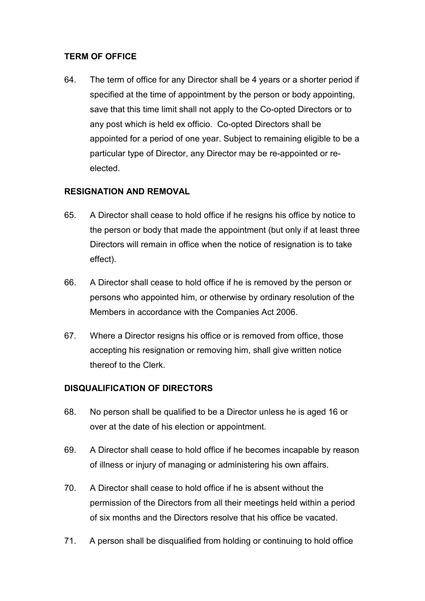# **TERM OF OFFICE**

64. The term of office for any Director shall be 4 years or a shorter period if specified at the time of appointment by the person or body appointing, save that this time limit shall not apply to the Co-opted Directors or to any post which is held ex officio. Co-opted Directors shall be appointed for a period of one year. Subject to remaining eligible to be a particular type of Director, any Director may be re-appointed or reelected.

# **RESIGNATION AND REMOVAL**

- 65. A Director shall cease to hold office if he resigns his office by notice to the person or body that made the appointment (but only if at least three Directors will remain in office when the notice of resignation is to take effect).
- 66. A Director shall cease to hold office if he is removed by the person or persons who appointed him, or otherwise by ordinary resolution of the Members in accordance with the Companies Act 2006.
- 67. Where a Director resigns his office or is removed from office, those accepting his resignation or removing him, shall give written notice thereof to the Clerk.

# **DISQUALIFICATION OF DIRECTORS**

- 68. No person shall be qualified to be a Director unless he is aged 16 or over at the date of his election or appointment.
- 69. A Director shall cease to hold office if he becomes incapable by reason of illness or injury of managing or administering his own affairs.
- 70. A Director shall cease to hold office if he is absent without the permission of the Directors from all their meetings held within a period of six months and the Directors resolve that his office be vacated.
- 71. A person shall be disqualified from holding or continuing to hold office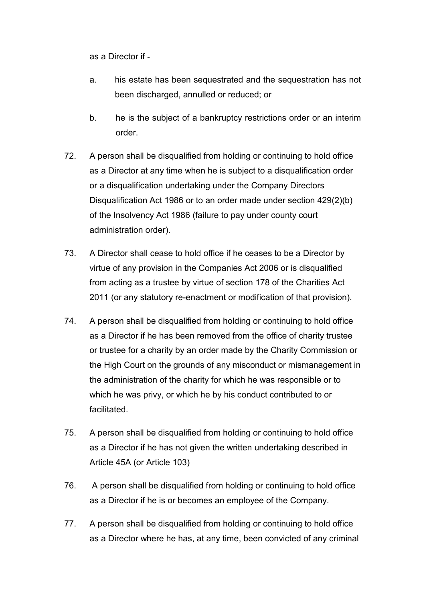as a Director if -

- a. his estate has been sequestrated and the sequestration has not been discharged, annulled or reduced; or
- b. he is the subject of a bankruptcy restrictions order or an interim order.
- 72. A person shall be disqualified from holding or continuing to hold office as a Director at any time when he is subject to a disqualification order or a disqualification undertaking under the Company Directors Disqualification Act 1986 or to an order made under section 429(2)(b) of the Insolvency Act 1986 (failure to pay under county court administration order).
- 73. A Director shall cease to hold office if he ceases to be a Director by virtue of any provision in the Companies Act 2006 or is disqualified from acting as a trustee by virtue of section 178 of the Charities Act 2011 (or any statutory re-enactment or modification of that provision).
- 74. A person shall be disqualified from holding or continuing to hold office as a Director if he has been removed from the office of charity trustee or trustee for a charity by an order made by the Charity Commission or the High Court on the grounds of any misconduct or mismanagement in the administration of the charity for which he was responsible or to which he was privy, or which he by his conduct contributed to or facilitated.
- 75. A person shall be disqualified from holding or continuing to hold office as a Director if he has not given the written undertaking described in Article 45A (or Article 103)
- 76. A person shall be disqualified from holding or continuing to hold office as a Director if he is or becomes an employee of the Company.
- 77. A person shall be disqualified from holding or continuing to hold office as a Director where he has, at any time, been convicted of any criminal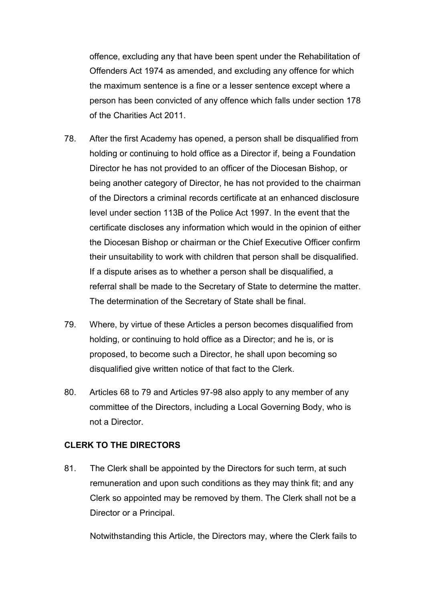offence, excluding any that have been spent under the Rehabilitation of Offenders Act 1974 as amended, and excluding any offence for which the maximum sentence is a fine or a lesser sentence except where a person has been convicted of any offence which falls under section 178 of the Charities Act 2011.

- 78. After the first Academy has opened, a person shall be disqualified from holding or continuing to hold office as a Director if, being a Foundation Director he has not provided to an officer of the Diocesan Bishop, or being another category of Director, he has not provided to the chairman of the Directors a criminal records certificate at an enhanced disclosure level under section 113B of the Police Act 1997. In the event that the certificate discloses any information which would in the opinion of either the Diocesan Bishop or chairman or the Chief Executive Officer confirm their unsuitability to work with children that person shall be disqualified. If a dispute arises as to whether a person shall be disqualified, a referral shall be made to the Secretary of State to determine the matter. The determination of the Secretary of State shall be final.
- 79. Where, by virtue of these Articles a person becomes disqualified from holding, or continuing to hold office as a Director; and he is, or is proposed, to become such a Director, he shall upon becoming so disqualified give written notice of that fact to the Clerk.
- 80. Articles 68 to 79 and Articles 97-98 also apply to any member of any committee of the Directors, including a Local Governing Body, who is not a Director.

## **CLERK TO THE DIRECTORS**

81. The Clerk shall be appointed by the Directors for such term, at such remuneration and upon such conditions as they may think fit; and any Clerk so appointed may be removed by them. The Clerk shall not be a Director or a Principal.

Notwithstanding this Article, the Directors may, where the Clerk fails to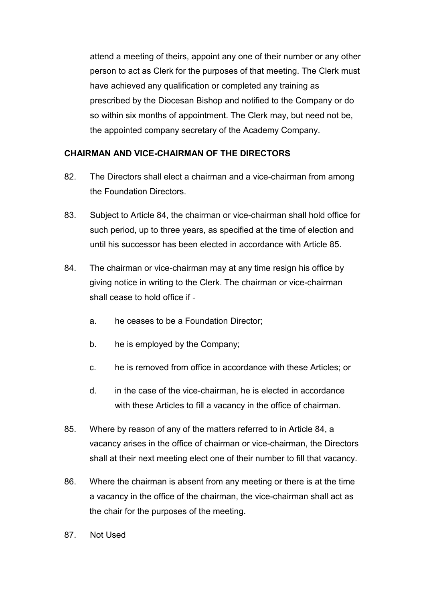attend a meeting of theirs, appoint any one of their number or any other person to act as Clerk for the purposes of that meeting. The Clerk must have achieved any qualification or completed any training as prescribed by the Diocesan Bishop and notified to the Company or do so within six months of appointment. The Clerk may, but need not be, the appointed company secretary of the Academy Company.

# **CHAIRMAN AND VICE-CHAIRMAN OF THE DIRECTORS**

- 82. The Directors shall elect a chairman and a vice-chairman from among the Foundation Directors.
- 83. Subject to Article 84, the chairman or vice-chairman shall hold office for such period, up to three years, as specified at the time of election and until his successor has been elected in accordance with Article 85.
- 84. The chairman or vice-chairman may at any time resign his office by giving notice in writing to the Clerk. The chairman or vice-chairman shall cease to hold office if
	- a. he ceases to be a Foundation Director;
	- b. he is employed by the Company;
	- c. he is removed from office in accordance with these Articles; or
	- d. in the case of the vice-chairman, he is elected in accordance with these Articles to fill a vacancy in the office of chairman.
- 85. Where by reason of any of the matters referred to in Article 84, a vacancy arises in the office of chairman or vice-chairman, the Directors shall at their next meeting elect one of their number to fill that vacancy.
- 86. Where the chairman is absent from any meeting or there is at the time a vacancy in the office of the chairman, the vice-chairman shall act as the chair for the purposes of the meeting.
- 87. Not Used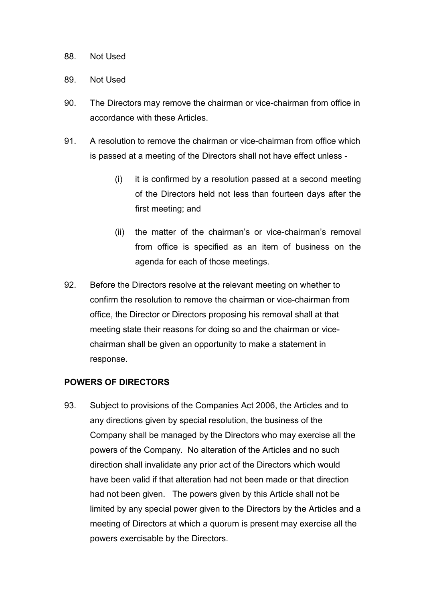#### 88. Not Used

## 89. Not Used

- 90. The Directors may remove the chairman or vice-chairman from office in accordance with these Articles.
- 91. A resolution to remove the chairman or vice-chairman from office which is passed at a meeting of the Directors shall not have effect unless -
	- (i) it is confirmed by a resolution passed at a second meeting of the Directors held not less than fourteen days after the first meeting; and
	- (ii) the matter of the chairman's or vice-chairman's removal from office is specified as an item of business on the agenda for each of those meetings.
- 92. Before the Directors resolve at the relevant meeting on whether to confirm the resolution to remove the chairman or vice-chairman from office, the Director or Directors proposing his removal shall at that meeting state their reasons for doing so and the chairman or vicechairman shall be given an opportunity to make a statement in response.

# **POWERS OF DIRECTORS**

93. Subject to provisions of the Companies Act 2006, the Articles and to any directions given by special resolution, the business of the Company shall be managed by the Directors who may exercise all the powers of the Company. No alteration of the Articles and no such direction shall invalidate any prior act of the Directors which would have been valid if that alteration had not been made or that direction had not been given. The powers given by this Article shall not be limited by any special power given to the Directors by the Articles and a meeting of Directors at which a quorum is present may exercise all the powers exercisable by the Directors.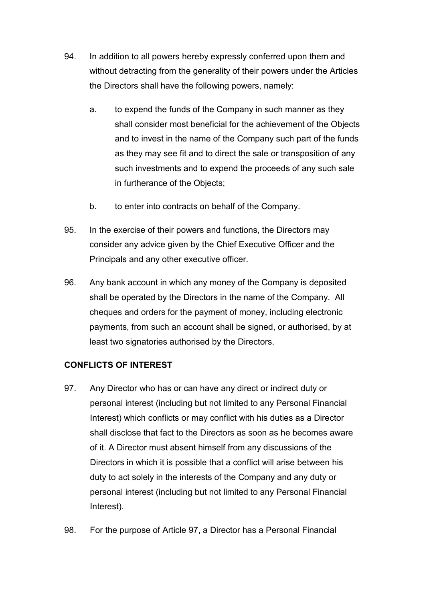- 94. In addition to all powers hereby expressly conferred upon them and without detracting from the generality of their powers under the Articles the Directors shall have the following powers, namely:
	- a. to expend the funds of the Company in such manner as they shall consider most beneficial for the achievement of the Objects and to invest in the name of the Company such part of the funds as they may see fit and to direct the sale or transposition of any such investments and to expend the proceeds of any such sale in furtherance of the Objects;
	- b. to enter into contracts on behalf of the Company.
- 95. In the exercise of their powers and functions, the Directors may consider any advice given by the Chief Executive Officer and the Principals and any other executive officer.
- 96. Any bank account in which any money of the Company is deposited shall be operated by the Directors in the name of the Company. All cheques and orders for the payment of money, including electronic payments, from such an account shall be signed, or authorised, by at least two signatories authorised by the Directors.

# **CONFLICTS OF INTEREST**

- 97. Any Director who has or can have any direct or indirect duty or personal interest (including but not limited to any Personal Financial Interest) which conflicts or may conflict with his duties as a Director shall disclose that fact to the Directors as soon as he becomes aware of it. A Director must absent himself from any discussions of the Directors in which it is possible that a conflict will arise between his duty to act solely in the interests of the Company and any duty or personal interest (including but not limited to any Personal Financial Interest).
- 98. For the purpose of Article 97, a Director has a Personal Financial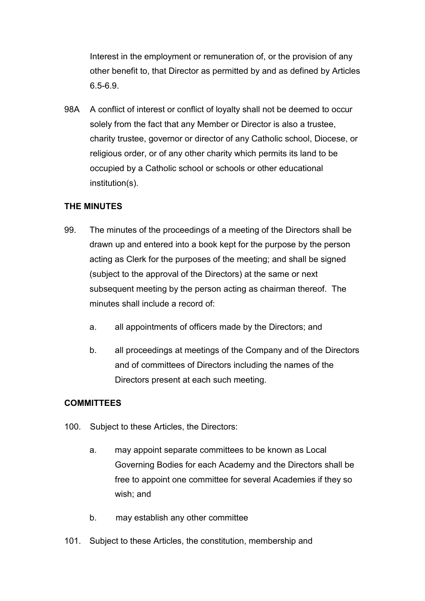Interest in the employment or remuneration of, or the provision of any other benefit to, that Director as permitted by and as defined by Articles 6.5-6.9.

98A A conflict of interest or conflict of loyalty shall not be deemed to occur solely from the fact that any Member or Director is also a trustee, charity trustee, governor or director of any Catholic school, Diocese, or religious order, or of any other charity which permits its land to be occupied by a Catholic school or schools or other educational institution(s).

## **THE MINUTES**

- 99. The minutes of the proceedings of a meeting of the Directors shall be drawn up and entered into a book kept for the purpose by the person acting as Clerk for the purposes of the meeting; and shall be signed (subject to the approval of the Directors) at the same or next subsequent meeting by the person acting as chairman thereof. The minutes shall include a record of:
	- a. all appointments of officers made by the Directors; and
	- b. all proceedings at meetings of the Company and of the Directors and of committees of Directors including the names of the Directors present at each such meeting.

## **COMMITTEES**

- 100. Subject to these Articles, the Directors:
	- a. may appoint separate committees to be known as Local Governing Bodies for each Academy and the Directors shall be free to appoint one committee for several Academies if they so wish; and
	- b. may establish any other committee
- 101. Subject to these Articles, the constitution, membership and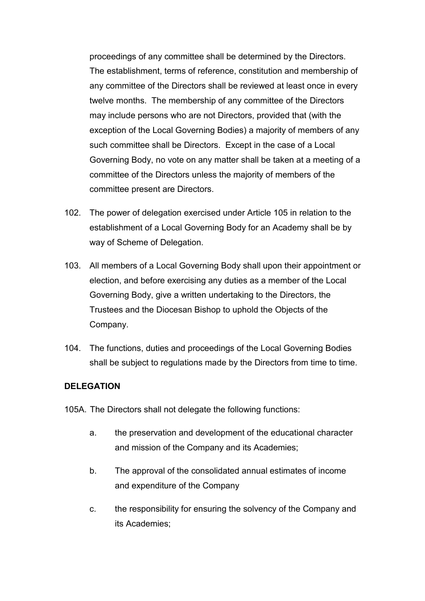proceedings of any committee shall be determined by the Directors. The establishment, terms of reference, constitution and membership of any committee of the Directors shall be reviewed at least once in every twelve months. The membership of any committee of the Directors may include persons who are not Directors, provided that (with the exception of the Local Governing Bodies) a majority of members of any such committee shall be Directors. Except in the case of a Local Governing Body, no vote on any matter shall be taken at a meeting of a committee of the Directors unless the majority of members of the committee present are Directors.

- 102. The power of delegation exercised under Article 105 in relation to the establishment of a Local Governing Body for an Academy shall be by way of Scheme of Delegation.
- 103. All members of a Local Governing Body shall upon their appointment or election, and before exercising any duties as a member of the Local Governing Body, give a written undertaking to the Directors, the Trustees and the Diocesan Bishop to uphold the Objects of the Company.
- 104. The functions, duties and proceedings of the Local Governing Bodies shall be subject to regulations made by the Directors from time to time.

## **DELEGATION**

- 105A. The Directors shall not delegate the following functions:
	- a. the preservation and development of the educational character and mission of the Company and its Academies;
	- b. The approval of the consolidated annual estimates of income and expenditure of the Company
	- c. the responsibility for ensuring the solvency of the Company and its Academies;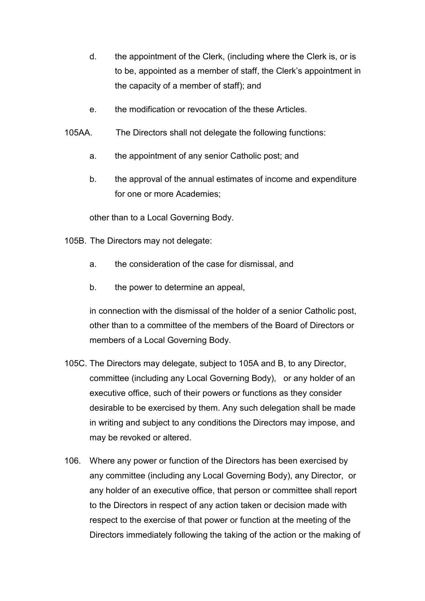- d. the appointment of the Clerk, (including where the Clerk is, or is to be, appointed as a member of staff, the Clerk's appointment in the capacity of a member of staff); and
- e. the modification or revocation of the these Articles.
- 105AA. The Directors shall not delegate the following functions:
	- a. the appointment of any senior Catholic post; and
	- b. the approval of the annual estimates of income and expenditure for one or more Academies;

other than to a Local Governing Body.

- 105B. The Directors may not delegate:
	- a. the consideration of the case for dismissal, and
	- b. the power to determine an appeal,

in connection with the dismissal of the holder of a senior Catholic post, other than to a committee of the members of the Board of Directors or members of a Local Governing Body.

- 105C. The Directors may delegate, subject to 105A and B, to any Director, committee (including any Local Governing Body), or any holder of an executive office, such of their powers or functions as they consider desirable to be exercised by them. Any such delegation shall be made in writing and subject to any conditions the Directors may impose, and may be revoked or altered.
- 106. Where any power or function of the Directors has been exercised by any committee (including any Local Governing Body), any Director, or any holder of an executive office, that person or committee shall report to the Directors in respect of any action taken or decision made with respect to the exercise of that power or function at the meeting of the Directors immediately following the taking of the action or the making of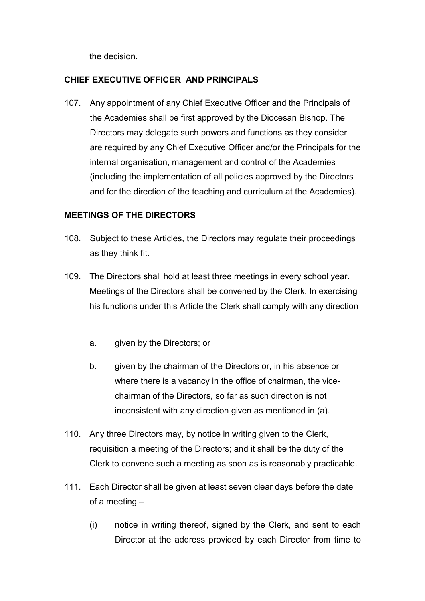the decision.

# **CHIEF EXECUTIVE OFFICER AND PRINCIPALS**

107. Any appointment of any Chief Executive Officer and the Principals of the Academies shall be first approved by the Diocesan Bishop. The Directors may delegate such powers and functions as they consider are required by any Chief Executive Officer and/or the Principals for the internal organisation, management and control of the Academies (including the implementation of all policies approved by the Directors and for the direction of the teaching and curriculum at the Academies).

## **MEETINGS OF THE DIRECTORS**

- 108. Subject to these Articles, the Directors may regulate their proceedings as they think fit.
- 109. The Directors shall hold at least three meetings in every school year. Meetings of the Directors shall be convened by the Clerk. In exercising his functions under this Article the Clerk shall comply with any direction
	- a. given by the Directors; or
	- b. given by the chairman of the Directors or, in his absence or where there is a vacancy in the office of chairman, the vicechairman of the Directors, so far as such direction is not inconsistent with any direction given as mentioned in (a).
- 110. Any three Directors may, by notice in writing given to the Clerk, requisition a meeting of the Directors; and it shall be the duty of the Clerk to convene such a meeting as soon as is reasonably practicable.
- 111. Each Director shall be given at least seven clear days before the date of a meeting –
	- (i) notice in writing thereof, signed by the Clerk, and sent to each Director at the address provided by each Director from time to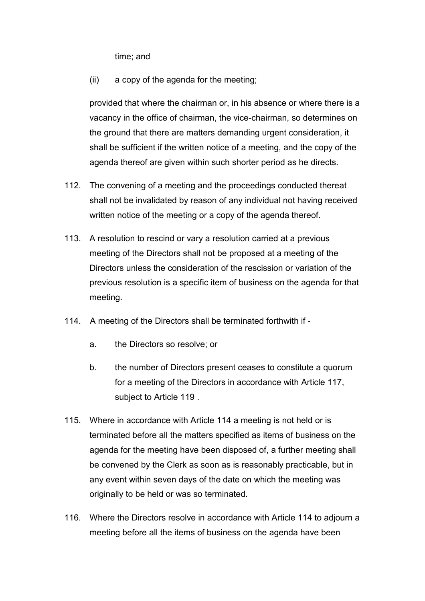time; and

(ii) a copy of the agenda for the meeting;

provided that where the chairman or, in his absence or where there is a vacancy in the office of chairman, the vice-chairman, so determines on the ground that there are matters demanding urgent consideration, it shall be sufficient if the written notice of a meeting, and the copy of the agenda thereof are given within such shorter period as he directs.

- 112. The convening of a meeting and the proceedings conducted thereat shall not be invalidated by reason of any individual not having received written notice of the meeting or a copy of the agenda thereof.
- 113. A resolution to rescind or vary a resolution carried at a previous meeting of the Directors shall not be proposed at a meeting of the Directors unless the consideration of the rescission or variation of the previous resolution is a specific item of business on the agenda for that meeting.
- 114. A meeting of the Directors shall be terminated forthwith if
	- a. the Directors so resolve; or
	- b. the number of Directors present ceases to constitute a quorum for a meeting of the Directors in accordance with Article 117, subject to Article 119 .
- 115. Where in accordance with Article 114 a meeting is not held or is terminated before all the matters specified as items of business on the agenda for the meeting have been disposed of, a further meeting shall be convened by the Clerk as soon as is reasonably practicable, but in any event within seven days of the date on which the meeting was originally to be held or was so terminated.
- 116. Where the Directors resolve in accordance with Article 114 to adjourn a meeting before all the items of business on the agenda have been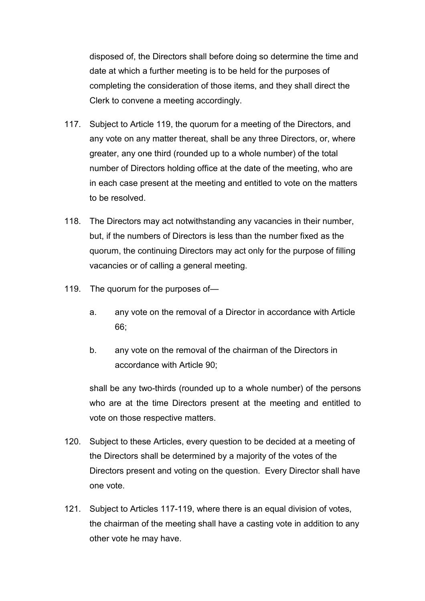disposed of, the Directors shall before doing so determine the time and date at which a further meeting is to be held for the purposes of completing the consideration of those items, and they shall direct the Clerk to convene a meeting accordingly.

- 117. Subject to Article 119, the quorum for a meeting of the Directors, and any vote on any matter thereat, shall be any three Directors, or, where greater, any one third (rounded up to a whole number) of the total number of Directors holding office at the date of the meeting, who are in each case present at the meeting and entitled to vote on the matters to be resolved.
- 118. The Directors may act notwithstanding any vacancies in their number, but, if the numbers of Directors is less than the number fixed as the quorum, the continuing Directors may act only for the purpose of filling vacancies or of calling a general meeting.
- 119. The quorum for the purposes of
	- a. any vote on the removal of a Director in accordance with Article 66;
	- b. any vote on the removal of the chairman of the Directors in accordance with Article 90;

shall be any two-thirds (rounded up to a whole number) of the persons who are at the time Directors present at the meeting and entitled to vote on those respective matters.

- 120. Subject to these Articles, every question to be decided at a meeting of the Directors shall be determined by a majority of the votes of the Directors present and voting on the question. Every Director shall have one vote.
- 121. Subject to Articles 117-119, where there is an equal division of votes, the chairman of the meeting shall have a casting vote in addition to any other vote he may have.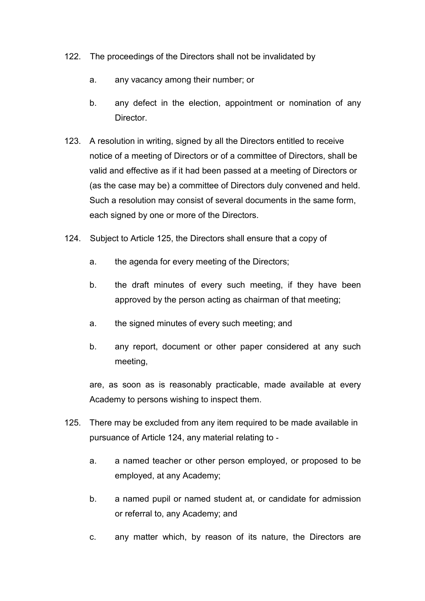- 122. The proceedings of the Directors shall not be invalidated by
	- a. any vacancy among their number; or
	- b. any defect in the election, appointment or nomination of any Director.
- 123. A resolution in writing, signed by all the Directors entitled to receive notice of a meeting of Directors or of a committee of Directors, shall be valid and effective as if it had been passed at a meeting of Directors or (as the case may be) a committee of Directors duly convened and held. Such a resolution may consist of several documents in the same form, each signed by one or more of the Directors.
- 124. Subject to Article 125, the Directors shall ensure that a copy of
	- a. the agenda for every meeting of the Directors;
	- b. the draft minutes of every such meeting, if they have been approved by the person acting as chairman of that meeting;
	- a. the signed minutes of every such meeting; and
	- b. any report, document or other paper considered at any such meeting,

are, as soon as is reasonably practicable, made available at every Academy to persons wishing to inspect them.

- 125. There may be excluded from any item required to be made available in pursuance of Article 124, any material relating to
	- a. a named teacher or other person employed, or proposed to be employed, at any Academy;
	- b. a named pupil or named student at, or candidate for admission or referral to, any Academy; and
	- c. any matter which, by reason of its nature, the Directors are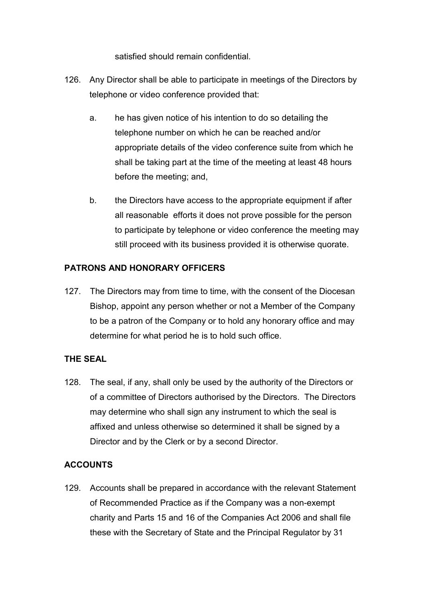satisfied should remain confidential.

- 126. Any Director shall be able to participate in meetings of the Directors by telephone or video conference provided that:
	- a. he has given notice of his intention to do so detailing the telephone number on which he can be reached and/or appropriate details of the video conference suite from which he shall be taking part at the time of the meeting at least 48 hours before the meeting; and,
	- b. the Directors have access to the appropriate equipment if after all reasonable efforts it does not prove possible for the person to participate by telephone or video conference the meeting may still proceed with its business provided it is otherwise quorate.

# **PATRONS AND HONORARY OFFICERS**

127. The Directors may from time to time, with the consent of the Diocesan Bishop, appoint any person whether or not a Member of the Company to be a patron of the Company or to hold any honorary office and may determine for what period he is to hold such office.

# **THE SEAL**

128. The seal, if any, shall only be used by the authority of the Directors or of a committee of Directors authorised by the Directors. The Directors may determine who shall sign any instrument to which the seal is affixed and unless otherwise so determined it shall be signed by a Director and by the Clerk or by a second Director.

# **ACCOUNTS**

129. Accounts shall be prepared in accordance with the relevant Statement of Recommended Practice as if the Company was a non-exempt charity and Parts 15 and 16 of the Companies Act 2006 and shall file these with the Secretary of State and the Principal Regulator by 31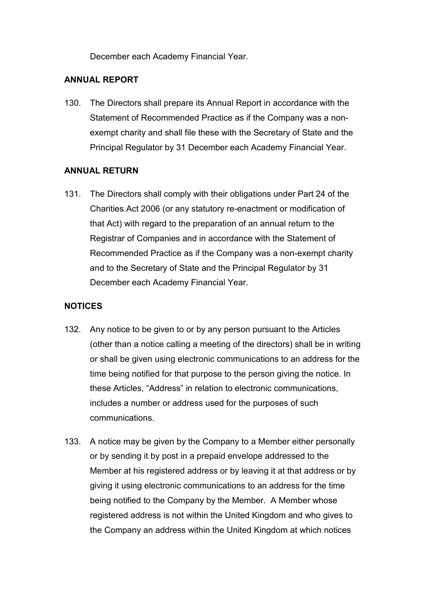December each Academy Financial Year.

## **ANNUAL REPORT**

130. The Directors shall prepare its Annual Report in accordance with the Statement of Recommended Practice as if the Company was a nonexempt charity and shall file these with the Secretary of State and the Principal Regulator by 31 December each Academy Financial Year.

# **ANNUAL RETURN**

131. The Directors shall comply with their obligations under Part 24 of the Charities Act 2006 (or any statutory re-enactment or modification of that Act) with regard to the preparation of an annual return to the Registrar of Companies and in accordance with the Statement of Recommended Practice as if the Company was a non-exempt charity and to the Secretary of State and the Principal Regulator by 31 December each Academy Financial Year.

# **NOTICES**

- 132. Any notice to be given to or by any person pursuant to the Articles (other than a notice calling a meeting of the directors) shall be in writing or shall be given using electronic communications to an address for the time being notified for that purpose to the person giving the notice. In these Articles, "Address" in relation to electronic communications, includes a number or address used for the purposes of such communications.
- 133. A notice may be given by the Company to a Member either personally or by sending it by post in a prepaid envelope addressed to the Member at his registered address or by leaving it at that address or by giving it using electronic communications to an address for the time being notified to the Company by the Member. A Member whose registered address is not within the United Kingdom and who gives to the Company an address within the United Kingdom at which notices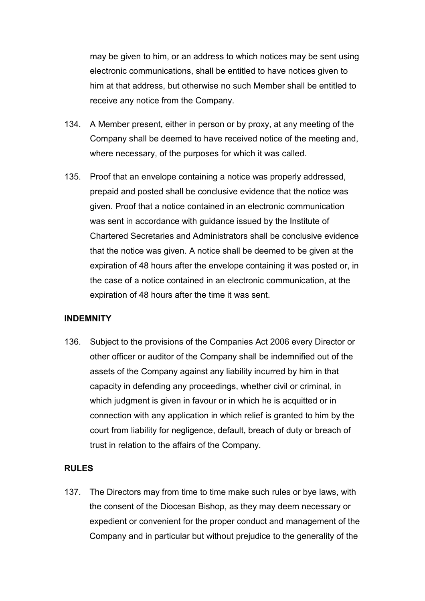may be given to him, or an address to which notices may be sent using electronic communications, shall be entitled to have notices given to him at that address, but otherwise no such Member shall be entitled to receive any notice from the Company.

- 134. A Member present, either in person or by proxy, at any meeting of the Company shall be deemed to have received notice of the meeting and, where necessary, of the purposes for which it was called.
- 135. Proof that an envelope containing a notice was properly addressed, prepaid and posted shall be conclusive evidence that the notice was given. Proof that a notice contained in an electronic communication was sent in accordance with guidance issued by the Institute of Chartered Secretaries and Administrators shall be conclusive evidence that the notice was given. A notice shall be deemed to be given at the expiration of 48 hours after the envelope containing it was posted or, in the case of a notice contained in an electronic communication, at the expiration of 48 hours after the time it was sent.

#### **INDEMNITY**

136. Subject to the provisions of the Companies Act 2006 every Director or other officer or auditor of the Company shall be indemnified out of the assets of the Company against any liability incurred by him in that capacity in defending any proceedings, whether civil or criminal, in which judgment is given in favour or in which he is acquitted or in connection with any application in which relief is granted to him by the court from liability for negligence, default, breach of duty or breach of trust in relation to the affairs of the Company.

## **RULES**

137. The Directors may from time to time make such rules or bye laws, with the consent of the Diocesan Bishop, as they may deem necessary or expedient or convenient for the proper conduct and management of the Company and in particular but without prejudice to the generality of the